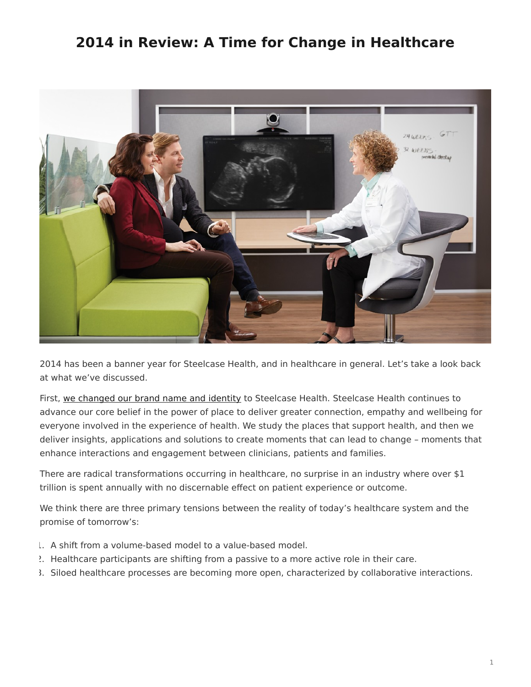## <span id="page-0-0"></span>**2014 in Review: A Time for Change in Healthcare**



2014 has been a banner year for Steelcase Health, and in healthcare in general. Let's take a look back at what we've discussed.

First, [we changed our brand name and identity](https://www.steelcase.com/posts/nurture-by-steelcase-is-now-steelcase-health/) to Steelcase Health. Steelcase Health continues to advance our core belief in the power of place to deliver greater connection, empathy and wellbeing for everyone involved in the experience of health. We study the places that support health, and then we deliver insights, applications and solutions to create moments that can lead to change – moments that enhance interactions and engagement between clinicians, patients and families.

There are radical transformations occurring in healthcare, no surprise in an industry where over \$1 trillion is spent annually with no discernable effect on patient experience or outcome.

We think there are three primary tensions between the reality of today's healthcare system and the promise of tomorrow's:

- 1. A shift from a volume-based model to a value-based model.
- 2. Healthcare participants are shifting from a passive to a more active role in their care.
- 3. Siloed healthcare processes are becoming more open, characterized by collaborative interactions.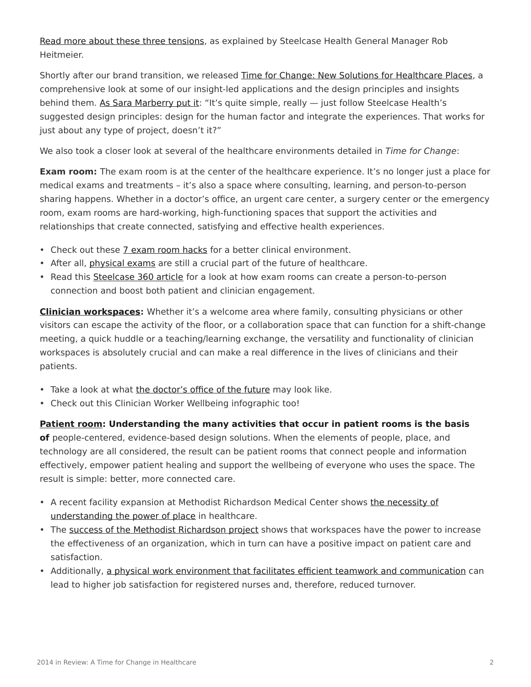[Read more about these three tensions,](https://www.steelcase.com/posts/three-transformative-healthcare-tensions/) as explained by Steelcase Health General Manager Rob Heitmeier.

Shortly after our brand transition, we released [Time for Change: New Solutions for Healthcare Places](https://www.steelcase.com/resources/documents/steelcase-health-time-change-insights-applications-guide/), a comprehensive look at some of our insight-led applications and the design principles and insights behind them. [As Sara Marberry put it:](https://www.steelcase.com/posts/experiencing-a-time-for-change/) "It's quite simple, really  $-$  just follow Steelcase Health's suggested design principles: design for the human factor and integrate the experiences. That works for just about any type of project, doesn't it?"

We also took a closer look at several of the healthcare environments detailed in *Time for Change*:

**Exam room:** The exam room is at the center of the healthcare experience. It's no longer just a place for medical exams and treatments – it's also a space where consulting, learning, and person-to-person sharing happens. Whether in a doctor's office, an urgent care center, a surgery center or the emergency room, exam rooms are hard-working, high-functioning spaces that support the activities and relationships that create connected, satisfying and effective health experiences.

- Check out these [7 exam room hacks](https://www.steelcase.com/posts/7-exam-room-hacks-for-a-better-clinical-environment/) for a better clinical environment.
- After all, *[physical exams](https://www.steelcase.com/posts/physical-exams-still-a-crucial-part-of-healthcares-future/)* are still a crucial part of the future of healthcare.
- Read this [Steelcase 360 article](https://www.steelcase.com/posts/aligning-healthcare-environments-to-meet-peoples-needs/) for a look at how exam rooms can create a person-to-person connection and boost both patient and clinician engagement.

**[Clinician workspaces](https://www.steelcase.com/posts/a-time-for-change-in-clinician-workspaces/):** Whether it's a welcome area where family, consulting physicians or other visitors can escape the activity of the floor, or a collaboration space that can function for a shift-change meeting, a quick huddle or a teaching/learning exchange, the versatility and functionality of clinician workspaces is absolutely crucial and can make a real difference in the lives of clinicians and their patients.

- Take a look at what [the doctor's office of the future](https://www.steelcase.com/posts/3-exciting-features-of-the-doctors-office-of-the-future/) may look like.
- Check out this Clinician Worker Wellbeing infographic too!

**[Patient room](https://www.steelcase.com/posts/a-time-for-change-in-the-patient-room/): Understanding the many activities that occur in patient rooms is the basis of** people-centered, evidence-based design solutions. When the elements of people, place, and technology are all considered, the result can be patient rooms that connect people and information

effectively, empower patient healing and support the wellbeing of everyone who uses the space. The result is simple: better, more connected care.

- A recent facility expansion at Methodist Richardson Medical Center shows [the necessity of](https://www.steelcase.com/posts/the-power-of-place-in-healthcare-environments-2/) [understanding the power of place](https://www.steelcase.com/posts/the-power-of-place-in-healthcare-environments-2/) in healthcare.
- The [success of the Methodist Richardson project](https://www.steelcase.com/posts/texas-hospital-follows-nurses-advice-in-re-design/) shows that workspaces have the power to increase the effectiveness of an organization, which in turn can have a positive impact on patient care and satisfaction.
- Additionally, [a physical work environment that facilitates efficient teamwork and communication](https://www.steelcase.com/posts/healthcare-design-can-affect-nurse-job-satisfaction/) can lead to higher job satisfaction for registered nurses and, therefore, reduced turnover.